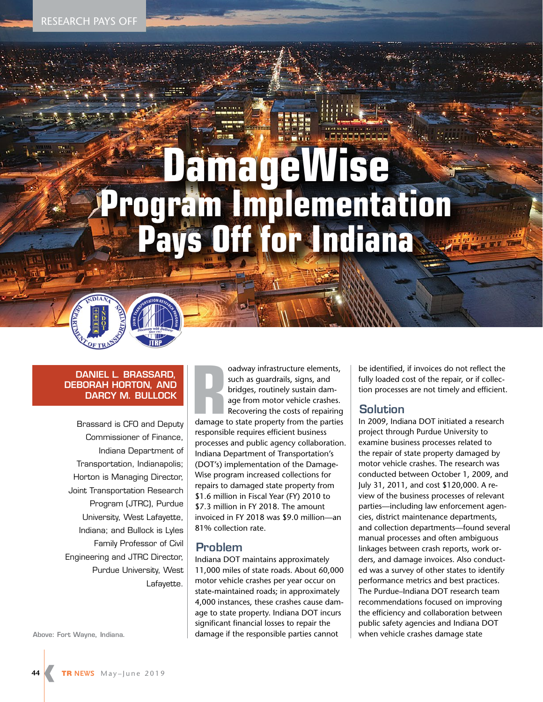# **DamageWise Program Implementation Pays Off for Indiana**

## **DANIEL L. BRASSARD, DEBORAH HORTON, AND DARCY M. BULLOCK**

Brassard is CFO and Deputy Commissioner of Finance, Indiana Department of Transportation, Indianapolis; Horton is Managing Director, Joint Transportation Research Program (JTRC), Purdue University, West Lafayette, Indiana; and Bullock is Lyles Family Professor of Civil Engineering and JTRC Director, Purdue University, West Lafayette.

oadway infrastructure elements,<br>
such as guardrails, signs, and<br>
bridges, routinely sustain dam-<br>
age from motor vehicle crashes.<br>
Recovering the costs of repairing<br>
damage to state property from the parties oadway infrastructure elements, such as guardrails, signs, and bridges, routinely sustain damage from motor vehicle crashes. Recovering the costs of repairing responsible requires efficient business processes and public agency collaboration. Indiana Department of Transportation's (DOT's) implementation of the Damage-Wise program increased collections for repairs to damaged state property from \$1.6 million in Fiscal Year (FY) 2010 to \$7.3 million in FY 2018. The amount invoiced in FY 2018 was \$9.0 million—an 81% collection rate.

# **Problem**

Indiana DOT maintains approximately 11,000 miles of state roads. About 60,000 motor vehicle crashes per year occur on state-maintained roads; in approximately 4,000 instances, these crashes cause damage to state property. Indiana DOT incurs significant financial losses to repair the Above: Fort Wayne, Indiana. **Above: Fort Wayne, Indianal Commange if the responsible parties cannot** Allem when vehicle crashes damage state

be identified, if invoices do not reflect the fully loaded cost of the repair, or if collection processes are not timely and efficient.

# **Solution**

In 2009, Indiana DOT initiated a research project through Purdue University to examine business processes related to the repair of state property damaged by motor vehicle crashes. The research was conducted between October 1, 2009, and July 31, 2011, and cost \$120,000. A review of the business processes of relevant parties—including law enforcement agencies, district maintenance departments, and collection departments—found several manual processes and often ambiguous linkages between crash reports, work orders, and damage invoices. Also conducted was a survey of other states to identify performance metrics and best practices. The Purdue–Indiana DOT research team recommendations focused on improving the efficiency and collaboration between public safety agencies and Indiana DOT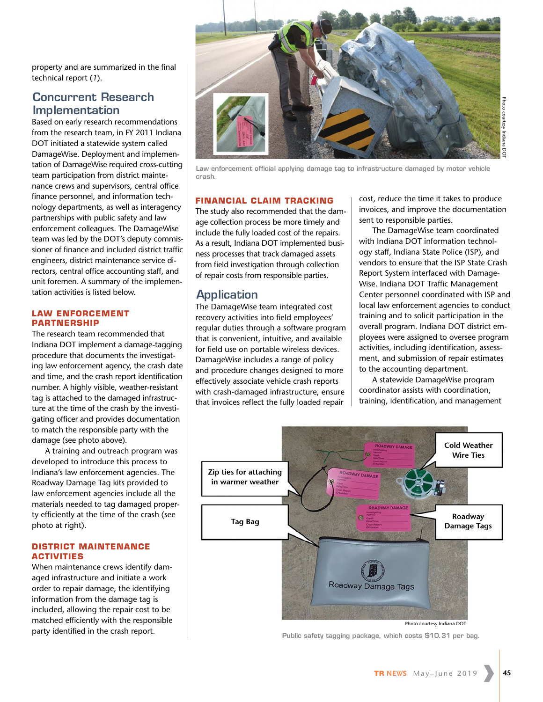property and are summarized in the final technical report (*1*).

# **Concurrent Research Implementation**

Based on early research recommendations from the research team, in FY 2011 Indiana DOT initiated a statewide system called DamageWise. Deployment and implementation of DamageWise required cross-cutting team participation from district maintenance crews and supervisors, central office finance personnel, and information technology departments, as well as interagency partnerships with public safety and law enforcement colleagues. The DamageWise team was led by the DOT's deputy commissioner of finance and included district traffic engineers, district maintenance service directors, central office accounting staff, and unit foremen. A summary of the implementation activities is listed below.

#### **LAW ENFORCEMENT PARTNERSHIP**

The research team recommended that Indiana DOT implement a damage-tagging procedure that documents the investigating law enforcement agency, the crash date and time, and the crash report identification number. A highly visible, weather-resistant tag is attached to the damaged infrastructure at the time of the crash by the investigating officer and provides documentation to match the responsible party with the damage (see photo above).

A training and outreach program was developed to introduce this process to Indiana's law enforcement agencies. The Roadway Damage Tag kits provided to law enforcement agencies include all the materials needed to tag damaged property efficiently at the time of the crash (see photo at right).

#### **DISTRICT MAINTENANCE ACTIVITIES**

When maintenance crews identify damaged infrastructure and initiate a work order to repair damage, the identifying information from the damage tag is included, allowing the repair cost to be matched efficiently with the responsible party identified in the crash report.



**Law enforcement official applying damage tag to infrastructure damaged by motor vehicle crash.** 

### **FINANCIAL CLAIM TRACKING**

The study also recommended that the damage collection process be more timely and include the fully loaded cost of the repairs. As a result, Indiana DOT implemented business processes that track damaged assets from field investigation through collection of repair costs from responsible parties.

# **Application**

The DamageWise team integrated cost recovery activities into field employees' regular duties through a software program that is convenient, intuitive, and available for field use on portable wireless devices. DamageWise includes a range of policy and procedure changes designed to more effectively associate vehicle crash reports with crash-damaged infrastructure, ensure that invoices reflect the fully loaded repair

cost, reduce the time it takes to produce invoices, and improve the documentation sent to responsible parties.

The DamageWise team coordinated with Indiana DOT information technology staff, Indiana State Police (ISP), and vendors to ensure that the ISP State Crash Report System interfaced with Damage-Wise. Indiana DOT Traffic Management Center personnel coordinated with ISP and local law enforcement agencies to conduct training and to solicit participation in the overall program. Indiana DOT district employees were assigned to oversee program activities, including identification, assessment, and submission of repair estimates to the accounting department.

A statewide DamageWise program coordinator assists with coordination, training, identification, and management



Photo courtesy Indiana DOT

**Public safety tagging package, which costs \$10.31 per bag.**